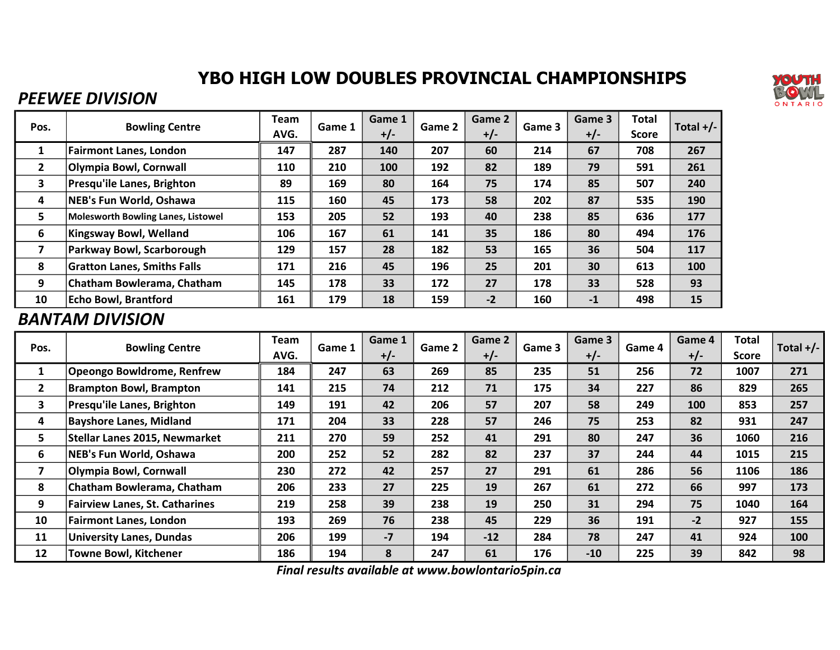# YBO HIGH LOW DOUBLES PROVINCIAL CHAMPIONSHIPS

### PEEWEE DIVISION

| Pos.         | <b>Bowling Centre</b>                     | Team | Game 1 | Game 1 | Game 2 | Game 2 | Game 3 | Game 3 | <b>Total</b> | Total $+/-$ |
|--------------|-------------------------------------------|------|--------|--------|--------|--------|--------|--------|--------------|-------------|
|              |                                           | AVG. |        | $+/-$  |        | $+/-$  |        | $+/-$  | <b>Score</b> |             |
| 1            | <b>Fairmont Lanes, London</b>             | 147  | 287    | 140    | 207    | 60     | 214    | 67     | 708          | 267         |
| $\mathbf{2}$ | Olympia Bowl, Cornwall                    | 110  | 210    | 100    | 192    | 82     | 189    | 79     | 591          | 261         |
| 3            | Presqu'ile Lanes, Brighton                | 89   | 169    | 80     | 164    | 75     | 174    | 85     | 507          | 240         |
| 4            | NEB's Fun World, Oshawa                   | 115  | 160    | 45     | 173    | 58     | 202    | 87     | 535          | 190         |
| 5.           | <b>Molesworth Bowling Lanes, Listowel</b> | 153  | 205    | 52     | 193    | 40     | 238    | 85     | 636          | 177         |
| 6            | <b>Kingsway Bowl, Welland</b>             | 106  | 167    | 61     | 141    | 35     | 186    | 80     | 494          | 176         |
| 7            | Parkway Bowl, Scarborough                 | 129  | 157    | 28     | 182    | 53     | 165    | 36     | 504          | 117         |
| 8            | <b>Gratton Lanes, Smiths Falls</b>        | 171  | 216    | 45     | 196    | 25     | 201    | 30     | 613          | 100         |
| 9            | Chatham Bowlerama, Chatham                | 145  | 178    | 33     | 172    | 27     | 178    | 33     | 528          | 93          |
| 10           | <b>Echo Bowl, Brantford</b>               | 161  | 179    | 18     | 159    | $-2$   | 160    | $-1$   | 498          | 15          |

#### BANTAM DIVISION

| Pos.         | <b>Bowling Centre</b>                 | Team<br>AVG. | Game 1 | Game 1<br>$+/-$ | Game 2 | Game 2<br>$+/-$ | Game 3 | Game 3<br>$+/-$ | Game 4 | Game 4<br>$+/-$ | <b>Total</b><br><b>Score</b> | Total $+/-$ |
|--------------|---------------------------------------|--------------|--------|-----------------|--------|-----------------|--------|-----------------|--------|-----------------|------------------------------|-------------|
| $\mathbf{1}$ | <b>Opeongo Bowldrome, Renfrew</b>     | 184          | 247    | 63              | 269    | 85              | 235    | 51              | 256    | 72              | 1007                         | 271         |
| $\mathbf{2}$ | <b>Brampton Bowl, Brampton</b>        | 141          | 215    | 74              | 212    | 71              | 175    | 34              | 227    | 86              | 829                          | 265         |
| 3            | <b>Presqu'ile Lanes, Brighton</b>     | 149          | 191    | 42              | 206    | 57              | 207    | 58              | 249    | 100             | 853                          | 257         |
| 4            | <b>Bayshore Lanes, Midland</b>        | 171          | 204    | 33              | 228    | 57              | 246    | 75              | 253    | 82              | 931                          | 247         |
| 5            | Stellar Lanes 2015, Newmarket         | 211          | 270    | 59              | 252    | 41              | 291    | 80              | 247    | 36              | 1060                         | 216         |
| 6            | NEB's Fun World, Oshawa               | 200          | 252    | 52              | 282    | 82              | 237    | 37              | 244    | 44              | 1015                         | 215         |
|              | Olympia Bowl, Cornwall                | 230          | 272    | 42              | 257    | 27              | 291    | 61              | 286    | 56              | 1106                         | 186         |
| 8            | Chatham Bowlerama, Chatham            | 206          | 233    | 27              | 225    | 19              | 267    | 61              | 272    | 66              | 997                          | 173         |
| 9            | <b>Fairview Lanes, St. Catharines</b> | 219          | 258    | 39              | 238    | 19              | 250    | 31              | 294    | 75              | 1040                         | 164         |
| 10           | <b>Fairmont Lanes, London</b>         | 193          | 269    | 76              | 238    | 45              | 229    | 36              | 191    | $-2$            | 927                          | 155         |
| 11           | <b>University Lanes, Dundas</b>       | 206          | 199    | $-7$            | 194    | $-12$           | 284    | 78              | 247    | 41              | 924                          | 100         |
| 12           | <b>Towne Bowl, Kitchener</b>          | 186          | 194    | 8               | 247    | 61              | 176    | $-10$           | 225    | 39              | 842                          | 98          |

Final results available at www.bowlontario5pin.ca